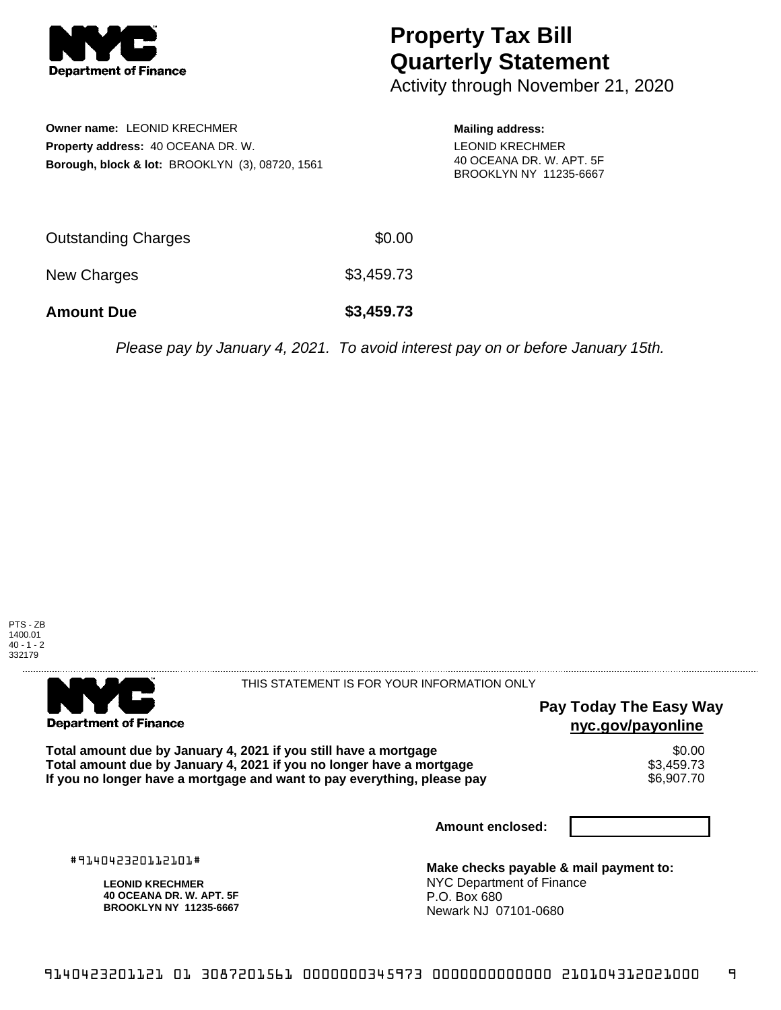

## **Property Tax Bill Quarterly Statement**

Activity through November 21, 2020

**Owner name:** LEONID KRECHMER **Property address:** 40 OCEANA DR. W. **Borough, block & lot:** BROOKLYN (3), 08720, 1561 **Mailing address:** LEONID KRECHMER 40 OCEANA DR. W. APT. 5F BROOKLYN NY 11235-6667

| <b>Amount Due</b>   | \$3,459.73 |
|---------------------|------------|
| New Charges         | \$3,459.73 |
| Outstanding Charges | \$0.00     |

Please pay by January 4, 2021. To avoid interest pay on or before January 15th.



. . . . . . . . . . . . . . . . .

THIS STATEMENT IS FOR YOUR INFORMATION ONLY

## **Pay Today The Easy Way nyc.gov/payonline**

Total amount due by January 4, 2021 if you still have a mortgage **\$0.00** \$0.00<br>Total amount due by January 4, 2021 if you no longer have a mortgage **\$3,459.73 Total amount due by January 4, 2021 if you no longer have a mortgage**  $$3,459.73$ **<br>If you no longer have a mortgage and want to pay everything, please pay**  $\$6,907.70$ If you no longer have a mortgage and want to pay everything, please pay

**Amount enclosed:**

#914042320112101#

**Department of Finance** 

**LEONID KRECHMER 40 OCEANA DR. W. APT. 5F BROOKLYN NY 11235-6667**

**Make checks payable & mail payment to:** NYC Department of Finance P.O. Box 680 Newark NJ 07101-0680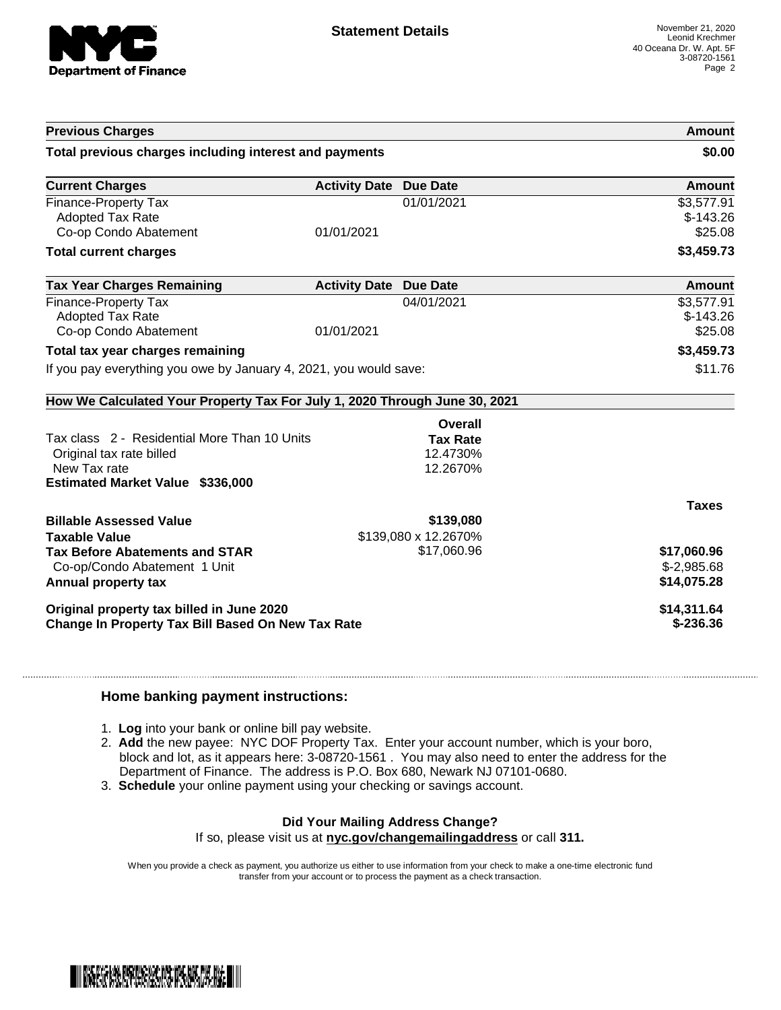

| <b>Previous Charges</b>                                                                                                             |                               |                                         | <b>Amount</b>                              |
|-------------------------------------------------------------------------------------------------------------------------------------|-------------------------------|-----------------------------------------|--------------------------------------------|
| Total previous charges including interest and payments                                                                              |                               | \$0.00                                  |                                            |
| <b>Current Charges</b>                                                                                                              | <b>Activity Date Due Date</b> |                                         | Amount                                     |
| Finance-Property Tax<br><b>Adopted Tax Rate</b><br>Co-op Condo Abatement                                                            | 01/01/2021                    | 01/01/2021                              | \$3,577.91<br>$$-143.26$<br>\$25.08        |
| <b>Total current charges</b>                                                                                                        |                               |                                         | \$3,459.73                                 |
| <b>Tax Year Charges Remaining</b>                                                                                                   | <b>Activity Date Due Date</b> |                                         | <b>Amount</b>                              |
| <b>Finance-Property Tax</b><br><b>Adopted Tax Rate</b><br>Co-op Condo Abatement                                                     | 01/01/2021                    | 04/01/2021                              | \$3,577.91<br>$$-143.26$<br>\$25.08        |
| Total tax year charges remaining                                                                                                    |                               |                                         | \$3,459.73                                 |
| If you pay everything you owe by January 4, 2021, you would save:                                                                   |                               |                                         | \$11.76                                    |
| How We Calculated Your Property Tax For July 1, 2020 Through June 30, 2021                                                          |                               |                                         |                                            |
|                                                                                                                                     |                               | Overall                                 |                                            |
| Tax class 2 - Residential More Than 10 Units<br>Original tax rate billed<br>New Tax rate<br><b>Estimated Market Value \$336,000</b> |                               | <b>Tax Rate</b><br>12.4730%<br>12.2670% |                                            |
|                                                                                                                                     |                               |                                         | <b>Taxes</b>                               |
| <b>Billable Assessed Value</b><br><b>Taxable Value</b>                                                                              |                               | \$139,080<br>\$139,080 x 12.2670%       |                                            |
| <b>Tax Before Abatements and STAR</b><br>Co-op/Condo Abatement 1 Unit<br>Annual property tax                                        |                               | \$17,060.96                             | \$17,060.96<br>$$-2,985.68$<br>\$14,075.28 |
| Original property tax billed in June 2020<br>Change In Property Tax Bill Based On New Tax Rate                                      |                               |                                         | \$14,311.64<br>$$-236.36$                  |

## **Home banking payment instructions:**

- 1. **Log** into your bank or online bill pay website.
- 2. **Add** the new payee: NYC DOF Property Tax. Enter your account number, which is your boro, block and lot, as it appears here: 3-08720-1561 . You may also need to enter the address for the Department of Finance. The address is P.O. Box 680, Newark NJ 07101-0680.
- 3. **Schedule** your online payment using your checking or savings account.

## **Did Your Mailing Address Change?**

If so, please visit us at **nyc.gov/changemailingaddress** or call **311.**

When you provide a check as payment, you authorize us either to use information from your check to make a one-time electronic fund transfer from your account or to process the payment as a check transaction.